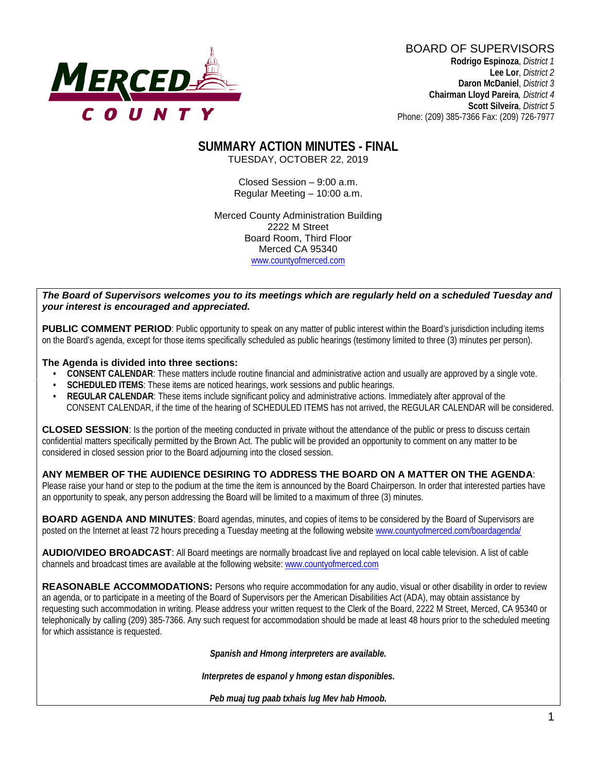

BOARD OF SUPERVISORS **Rodrigo Espinoza**, *District 1*  **Lee Lor**, *District 2*  **Daron McDaniel**, *District 3* **Chairman Lloyd Pareira***, District 4*  **Scott Silveira**, *District 5* Phone: (209) 385-7366 Fax: (209) 726-7977

#### **SUMMARY ACTION MINUTES - FINAL** TUESDAY, OCTOBER 22, 2019

Closed Session – 9:00 a.m. Regular Meeting – 10:00 a.m.

Merced County Administration Building 2222 M Street Board Room, Third Floor Merced CA 95340 www.countyofmerced.com

#### *The Board of Supervisors welcomes you to its meetings which are regularly held on a scheduled Tuesday and your interest is encouraged and appreciated.*

**PUBLIC COMMENT PERIOD:** Public opportunity to speak on any matter of public interest within the Board's jurisdiction including items on the Board's agenda, except for those items specifically scheduled as public hearings (testimony limited to three (3) minutes per person).

#### **The Agenda is divided into three sections:**

- **CONSENT CALENDAR**: These matters include routine financial and administrative action and usually are approved by a single vote.
- **SCHEDULED ITEMS:** These items are noticed hearings, work sessions and public hearings.
- **REGULAR CALENDAR**: These items include significant policy and administrative actions. Immediately after approval of the CONSENT CALENDAR, if the time of the hearing of SCHEDULED ITEMS has not arrived, the REGULAR CALENDAR will be considered.

**CLOSED SESSION**: Is the portion of the meeting conducted in private without the attendance of the public or press to discuss certain confidential matters specifically permitted by the Brown Act. The public will be provided an opportunity to comment on any matter to be considered in closed session prior to the Board adjourning into the closed session.

#### **ANY MEMBER OF THE AUDIENCE DESIRING TO ADDRESS THE BOARD ON A MATTER ON THE AGENDA**:

Please raise your hand or step to the podium at the time the item is announced by the Board Chairperson. In order that interested parties have an opportunity to speak, any person addressing the Board will be limited to a maximum of three (3) minutes.

**BOARD AGENDA AND MINUTES:** Board agendas, minutes, and copies of items to be considered by the Board of Supervisors are posted on the Internet at least 72 hours preceding a Tuesday meeting at the following website [www.countyofmerced.com/boardagenda/](http://www.countyofmerced.com/boardagenda/) 

**AUDIO/VIDEO BROADCAST**: All Board meetings are normally broadcast live and replayed on local cable television. A list of cable channels and broadcast times are available at the following website[: www.countyofmerced.com](http://www.countyofmerced.com/)

**REASONABLE ACCOMMODATIONS:** Persons who require accommodation for any audio, visual or other disability in order to review an agenda, or to participate in a meeting of the Board of Supervisors per the American Disabilities Act (ADA), may obtain assistance by requesting such accommodation in writing. Please address your written request to the Clerk of the Board, 2222 M Street, Merced, CA 95340 or telephonically by calling (209) 385-7366. Any such request for accommodation should be made at least 48 hours prior to the scheduled meeting for which assistance is requested.

*Spanish and Hmong interpreters are available.*

*Interpretes de espanol y hmong estan disponibles.*

*Peb muaj tug paab txhais lug Mev hab Hmoob.*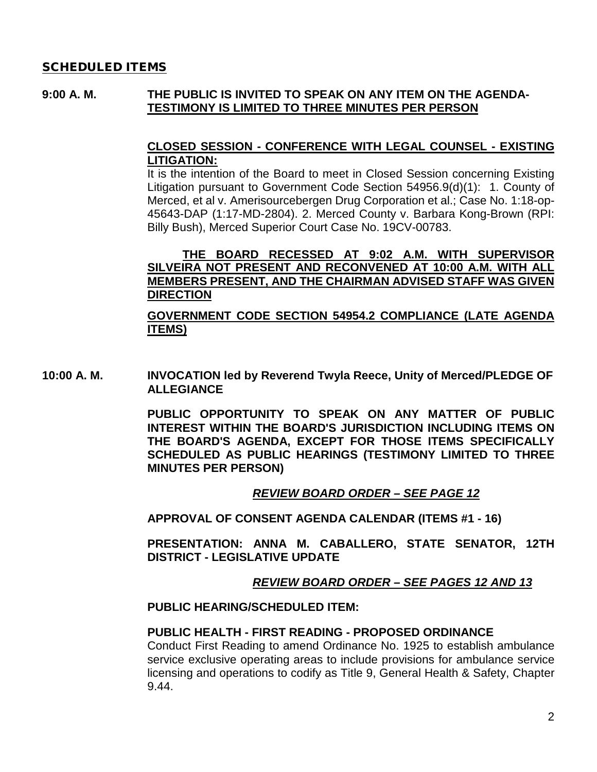#### SCHEDULED ITEMS

#### **9:00 A. M. THE PUBLIC IS INVITED TO SPEAK ON ANY ITEM ON THE AGENDA-TESTIMONY IS LIMITED TO THREE MINUTES PER PERSON**

#### **CLOSED SESSION - CONFERENCE WITH LEGAL COUNSEL - EXISTING LITIGATION:**

It is the intention of the Board to meet in Closed Session concerning Existing Litigation pursuant to Government Code Section 54956.9(d)(1): 1. County of Merced, et al v. Amerisourcebergen Drug Corporation et al.; Case No. 1:18-op-45643-DAP (1:17-MD-2804). 2. Merced County v. Barbara Kong-Brown (RPI: Billy Bush), Merced Superior Court Case No. 19CV-00783.

#### **THE BOARD RECESSED AT 9:02 A.M. WITH SUPERVISOR SILVEIRA NOT PRESENT AND RECONVENED AT 10:00 A.M. WITH ALL MEMBERS PRESENT, AND THE CHAIRMAN ADVISED STAFF WAS GIVEN DIRECTION**

#### **GOVERNMENT CODE SECTION 54954.2 COMPLIANCE (LATE AGENDA ITEMS)**

**10:00 A. M. INVOCATION led by Reverend Twyla Reece, Unity of Merced/PLEDGE OF ALLEGIANCE**

> **PUBLIC OPPORTUNITY TO SPEAK ON ANY MATTER OF PUBLIC INTEREST WITHIN THE BOARD'S JURISDICTION INCLUDING ITEMS ON THE BOARD'S AGENDA, EXCEPT FOR THOSE ITEMS SPECIFICALLY SCHEDULED AS PUBLIC HEARINGS (TESTIMONY LIMITED TO THREE MINUTES PER PERSON)**

#### *REVIEW BOARD ORDER – SEE PAGE 12*

**APPROVAL OF CONSENT AGENDA CALENDAR (ITEMS #1 - 16)**

**PRESENTATION: ANNA M. CABALLERO, STATE SENATOR, 12TH DISTRICT - LEGISLATIVE UPDATE**

#### *REVIEW BOARD ORDER – SEE PAGES 12 AND 13*

#### **PUBLIC HEARING/SCHEDULED ITEM:**

#### **PUBLIC HEALTH - FIRST READING - PROPOSED ORDINANCE**

Conduct First Reading to amend Ordinance No. 1925 to establish ambulance service exclusive operating areas to include provisions for ambulance service licensing and operations to codify as Title 9, General Health & Safety, Chapter 9.44.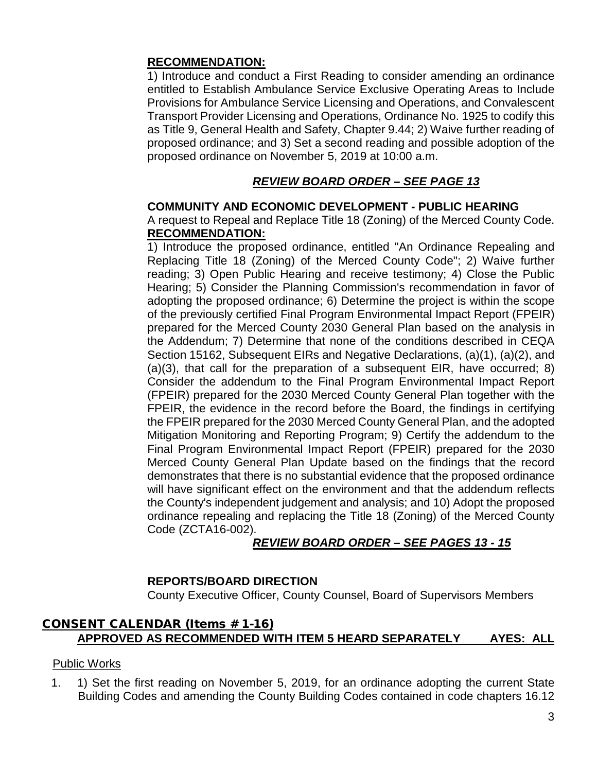#### **RECOMMENDATION:**

1) Introduce and conduct a First Reading to consider amending an ordinance entitled to Establish Ambulance Service Exclusive Operating Areas to Include Provisions for Ambulance Service Licensing and Operations, and Convalescent Transport Provider Licensing and Operations, Ordinance No. 1925 to codify this as Title 9, General Health and Safety, Chapter 9.44; 2) Waive further reading of proposed ordinance; and 3) Set a second reading and possible adoption of the proposed ordinance on November 5, 2019 at 10:00 a.m.

## *REVIEW BOARD ORDER – SEE PAGE 13*

### **COMMUNITY AND ECONOMIC DEVELOPMENT - PUBLIC HEARING**

A request to Repeal and Replace Title 18 (Zoning) of the Merced County Code. **RECOMMENDATION:**

1) Introduce the proposed ordinance, entitled "An Ordinance Repealing and Replacing Title 18 (Zoning) of the Merced County Code"; 2) Waive further reading; 3) Open Public Hearing and receive testimony; 4) Close the Public Hearing; 5) Consider the Planning Commission's recommendation in favor of adopting the proposed ordinance; 6) Determine the project is within the scope of the previously certified Final Program Environmental Impact Report (FPEIR) prepared for the Merced County 2030 General Plan based on the analysis in the Addendum; 7) Determine that none of the conditions described in CEQA Section 15162, Subsequent EIRs and Negative Declarations, (a)(1), (a)(2), and (a)(3), that call for the preparation of a subsequent EIR, have occurred; 8) Consider the addendum to the Final Program Environmental Impact Report (FPEIR) prepared for the 2030 Merced County General Plan together with the FPEIR, the evidence in the record before the Board, the findings in certifying the FPEIR prepared for the 2030 Merced County General Plan, and the adopted Mitigation Monitoring and Reporting Program; 9) Certify the addendum to the Final Program Environmental Impact Report (FPEIR) prepared for the 2030 Merced County General Plan Update based on the findings that the record demonstrates that there is no substantial evidence that the proposed ordinance will have significant effect on the environment and that the addendum reflects the County's independent judgement and analysis; and 10) Adopt the proposed ordinance repealing and replacing the Title 18 (Zoning) of the Merced County Code (ZCTA16-002).

## *REVIEW BOARD ORDER – SEE PAGES 13 - 15*

### **REPORTS/BOARD DIRECTION**

County Executive Officer, County Counsel, Board of Supervisors Members

### CONSENT CALENDAR (Items # 1-16) **APPROVED AS RECOMMENDED WITH ITEM 5 HEARD SEPARATELY AYES: ALL**

### Public Works

1. 1) Set the first reading on November 5, 2019, for an ordinance adopting the current State Building Codes and amending the County Building Codes contained in code chapters 16.12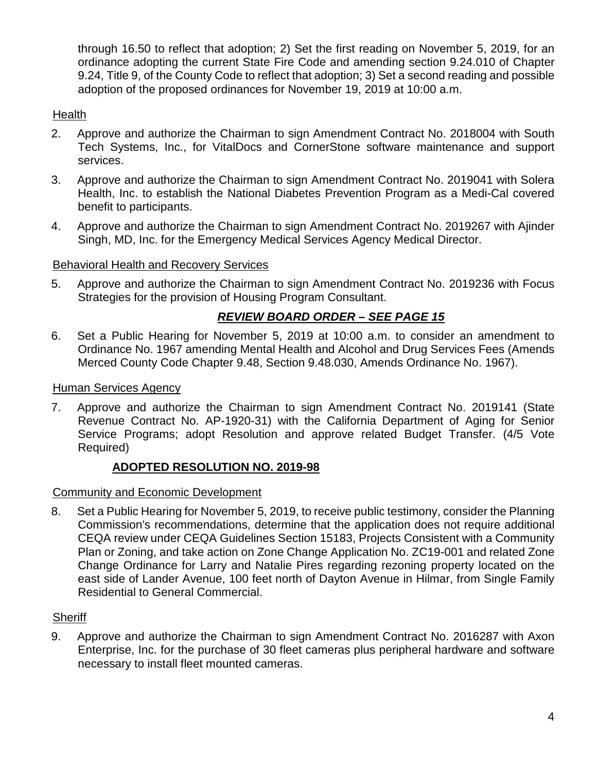through 16.50 to reflect that adoption; 2) Set the first reading on November 5, 2019, for an ordinance adopting the current State Fire Code and amending section 9.24.010 of Chapter 9.24, Title 9, of the County Code to reflect that adoption; 3) Set a second reading and possible adoption of the proposed ordinances for November 19, 2019 at 10:00 a.m.

### **Health**

- 2. Approve and authorize the Chairman to sign Amendment Contract No. 2018004 with South Tech Systems, Inc., for VitalDocs and CornerStone software maintenance and support services.
- 3. Approve and authorize the Chairman to sign Amendment Contract No. 2019041 with Solera Health, Inc. to establish the National Diabetes Prevention Program as a Medi-Cal covered benefit to participants.
- 4. Approve and authorize the Chairman to sign Amendment Contract No. 2019267 with Ajinder Singh, MD, Inc. for the Emergency Medical Services Agency Medical Director.

#### Behavioral Health and Recovery Services

5. Approve and authorize the Chairman to sign Amendment Contract No. 2019236 with Focus Strategies for the provision of Housing Program Consultant.

#### *REVIEW BOARD ORDER – SEE PAGE 15*

6. Set a Public Hearing for November 5, 2019 at 10:00 a.m. to consider an amendment to Ordinance No. 1967 amending Mental Health and Alcohol and Drug Services Fees (Amends Merced County Code Chapter 9.48, Section 9.48.030, Amends Ordinance No. 1967).

#### Human Services Agency

7. Approve and authorize the Chairman to sign Amendment Contract No. 2019141 (State Revenue Contract No. AP-1920-31) with the California Department of Aging for Senior Service Programs; adopt Resolution and approve related Budget Transfer. (4/5 Vote Required)

#### **ADOPTED RESOLUTION NO. 2019-98**

Community and Economic Development

8. Set a Public Hearing for November 5, 2019, to receive public testimony, consider the Planning Commission's recommendations, determine that the application does not require additional CEQA review under CEQA Guidelines Section 15183, Projects Consistent with a Community Plan or Zoning, and take action on Zone Change Application No. ZC19-001 and related Zone Change Ordinance for Larry and Natalie Pires regarding rezoning property located on the east side of Lander Avenue, 100 feet north of Dayton Avenue in Hilmar, from Single Family Residential to General Commercial.

#### **Sheriff**

9. Approve and authorize the Chairman to sign Amendment Contract No. 2016287 with Axon Enterprise, Inc. for the purchase of 30 fleet cameras plus peripheral hardware and software necessary to install fleet mounted cameras.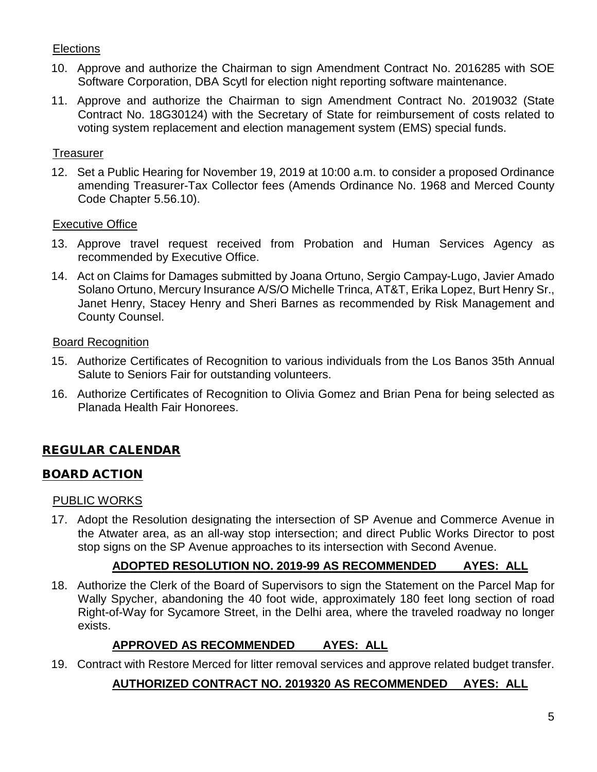## **Elections**

- 10. Approve and authorize the Chairman to sign Amendment Contract No. 2016285 with SOE Software Corporation, DBA Scytl for election night reporting software maintenance.
- 11. Approve and authorize the Chairman to sign Amendment Contract No. 2019032 (State Contract No. 18G30124) with the Secretary of State for reimbursement of costs related to voting system replacement and election management system (EMS) special funds.

### **Treasurer**

12. Set a Public Hearing for November 19, 2019 at 10:00 a.m. to consider a proposed Ordinance amending Treasurer-Tax Collector fees (Amends Ordinance No. 1968 and Merced County Code Chapter 5.56.10).

#### Executive Office

- 13. Approve travel request received from Probation and Human Services Agency as recommended by Executive Office.
- 14. Act on Claims for Damages submitted by Joana Ortuno, Sergio Campay-Lugo, Javier Amado Solano Ortuno, Mercury Insurance A/S/O Michelle Trinca, AT&T, Erika Lopez, Burt Henry Sr., Janet Henry, Stacey Henry and Sheri Barnes as recommended by Risk Management and County Counsel.

#### Board Recognition

- 15. Authorize Certificates of Recognition to various individuals from the Los Banos 35th Annual Salute to Seniors Fair for outstanding volunteers.
- 16. Authorize Certificates of Recognition to Olivia Gomez and Brian Pena for being selected as Planada Health Fair Honorees.

## REGULAR CALENDAR

### BOARD ACTION

#### PUBLIC WORKS

17. Adopt the Resolution designating the intersection of SP Avenue and Commerce Avenue in the Atwater area, as an all-way stop intersection; and direct Public Works Director to post stop signs on the SP Avenue approaches to its intersection with Second Avenue.

### **ADOPTED RESOLUTION NO. 2019-99 AS RECOMMENDED AYES: ALL**

18. Authorize the Clerk of the Board of Supervisors to sign the Statement on the Parcel Map for Wally Spycher, abandoning the 40 foot wide, approximately 180 feet long section of road Right-of-Way for Sycamore Street, in the Delhi area, where the traveled roadway no longer exists.

### **APPROVED AS RECOMMENDED AYES: ALL**

19. Contract with Restore Merced for litter removal services and approve related budget transfer.

## **AUTHORIZED CONTRACT NO. 2019320 AS RECOMMENDED AYES: ALL**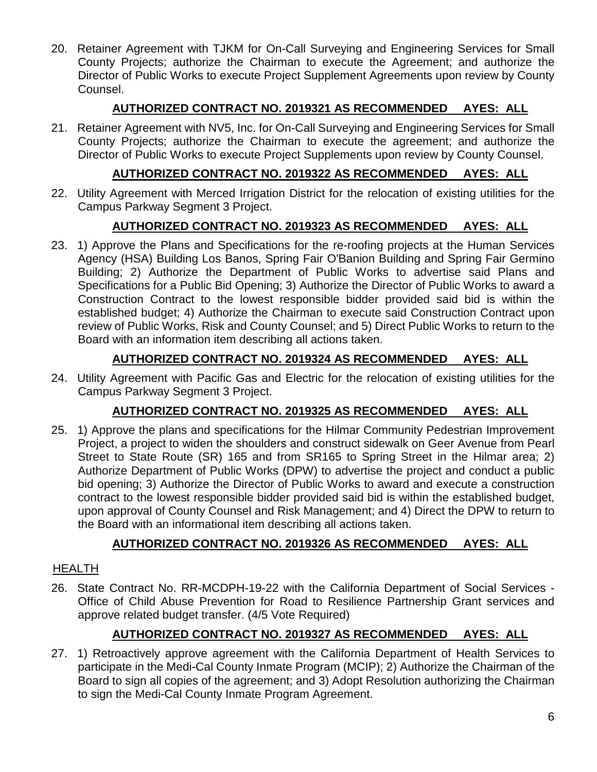20. Retainer Agreement with TJKM for On-Call Surveying and Engineering Services for Small County Projects; authorize the Chairman to execute the Agreement; and authorize the Director of Public Works to execute Project Supplement Agreements upon review by County Counsel.

## **AUTHORIZED CONTRACT NO. 2019321 AS RECOMMENDED AYES: ALL**

21. Retainer Agreement with NV5, Inc. for On-Call Surveying and Engineering Services for Small County Projects; authorize the Chairman to execute the agreement; and authorize the Director of Public Works to execute Project Supplements upon review by County Counsel.

## **AUTHORIZED CONTRACT NO. 2019322 AS RECOMMENDED AYES: ALL**

22. Utility Agreement with Merced Irrigation District for the relocation of existing utilities for the Campus Parkway Segment 3 Project.

## **AUTHORIZED CONTRACT NO. 2019323 AS RECOMMENDED AYES: ALL**

23. 1) Approve the Plans and Specifications for the re-roofing projects at the Human Services Agency (HSA) Building Los Banos, Spring Fair O'Banion Building and Spring Fair Germino Building; 2) Authorize the Department of Public Works to advertise said Plans and Specifications for a Public Bid Opening; 3) Authorize the Director of Public Works to award a Construction Contract to the lowest responsible bidder provided said bid is within the established budget; 4) Authorize the Chairman to execute said Construction Contract upon review of Public Works, Risk and County Counsel; and 5) Direct Public Works to return to the Board with an information item describing all actions taken.

## **AUTHORIZED CONTRACT NO. 2019324 AS RECOMMENDED AYES: ALL**

24. Utility Agreement with Pacific Gas and Electric for the relocation of existing utilities for the Campus Parkway Segment 3 Project.

## **AUTHORIZED CONTRACT NO. 2019325 AS RECOMMENDED AYES: ALL**

25. 1) Approve the plans and specifications for the Hilmar Community Pedestrian Improvement Project, a project to widen the shoulders and construct sidewalk on Geer Avenue from Pearl Street to State Route (SR) 165 and from SR165 to Spring Street in the Hilmar area; 2) Authorize Department of Public Works (DPW) to advertise the project and conduct a public bid opening; 3) Authorize the Director of Public Works to award and execute a construction contract to the lowest responsible bidder provided said bid is within the established budget, upon approval of County Counsel and Risk Management; and 4) Direct the DPW to return to the Board with an informational item describing all actions taken.

## **AUTHORIZED CONTRACT NO. 2019326 AS RECOMMENDED AYES: ALL**

### HEALTH

26. State Contract No. RR-MCDPH-19-22 with the California Department of Social Services - Office of Child Abuse Prevention for Road to Resilience Partnership Grant services and approve related budget transfer. (4/5 Vote Required)

## **AUTHORIZED CONTRACT NO. 2019327 AS RECOMMENDED AYES: ALL**

27. 1) Retroactively approve agreement with the California Department of Health Services to participate in the Medi-Cal County Inmate Program (MCIP); 2) Authorize the Chairman of the Board to sign all copies of the agreement; and 3) Adopt Resolution authorizing the Chairman to sign the Medi-Cal County Inmate Program Agreement.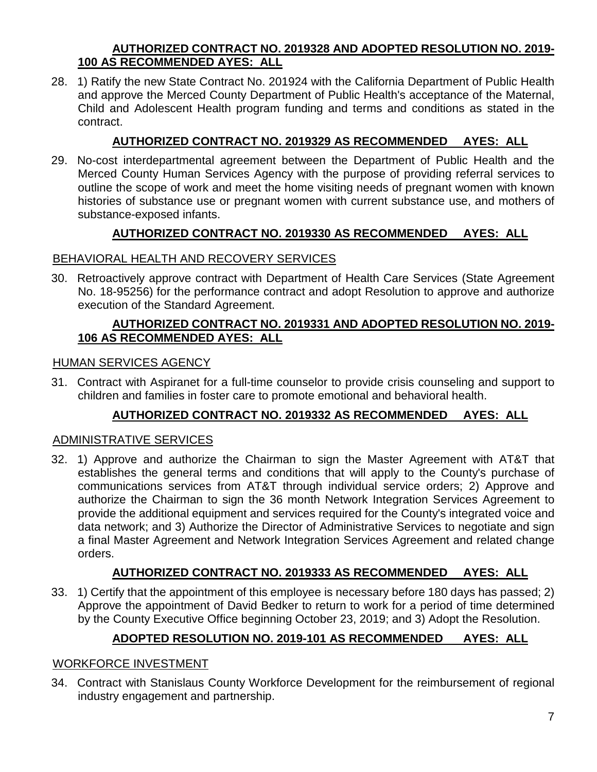#### **AUTHORIZED CONTRACT NO. 2019328 AND ADOPTED RESOLUTION NO. 2019- 100 AS RECOMMENDED AYES: ALL**

28. 1) Ratify the new State Contract No. 201924 with the California Department of Public Health and approve the Merced County Department of Public Health's acceptance of the Maternal, Child and Adolescent Health program funding and terms and conditions as stated in the contract.

## **AUTHORIZED CONTRACT NO. 2019329 AS RECOMMENDED AYES: ALL**

29. No-cost interdepartmental agreement between the Department of Public Health and the Merced County Human Services Agency with the purpose of providing referral services to outline the scope of work and meet the home visiting needs of pregnant women with known histories of substance use or pregnant women with current substance use, and mothers of substance-exposed infants.

## **AUTHORIZED CONTRACT NO. 2019330 AS RECOMMENDED AYES: ALL**

### BEHAVIORAL HEALTH AND RECOVERY SERVICES

30. Retroactively approve contract with Department of Health Care Services (State Agreement No. 18-95256) for the performance contract and adopt Resolution to approve and authorize execution of the Standard Agreement.

### **AUTHORIZED CONTRACT NO. 2019331 AND ADOPTED RESOLUTION NO. 2019- 106 AS RECOMMENDED AYES: ALL**

### HUMAN SERVICES AGENCY

31. Contract with Aspiranet for a full-time counselor to provide crisis counseling and support to children and families in foster care to promote emotional and behavioral health.

## **AUTHORIZED CONTRACT NO. 2019332 AS RECOMMENDED AYES: ALL**

### ADMINISTRATIVE SERVICES

32. 1) Approve and authorize the Chairman to sign the Master Agreement with AT&T that establishes the general terms and conditions that will apply to the County's purchase of communications services from AT&T through individual service orders; 2) Approve and authorize the Chairman to sign the 36 month Network Integration Services Agreement to provide the additional equipment and services required for the County's integrated voice and data network; and 3) Authorize the Director of Administrative Services to negotiate and sign a final Master Agreement and Network Integration Services Agreement and related change orders.

## **AUTHORIZED CONTRACT NO. 2019333 AS RECOMMENDED AYES: ALL**

33. 1) Certify that the appointment of this employee is necessary before 180 days has passed; 2) Approve the appointment of David Bedker to return to work for a period of time determined by the County Executive Office beginning October 23, 2019; and 3) Adopt the Resolution.

## **ADOPTED RESOLUTION NO. 2019-101 AS RECOMMENDED AYES: ALL**

#### WORKFORCE INVESTMENT

34. Contract with Stanislaus County Workforce Development for the reimbursement of regional industry engagement and partnership.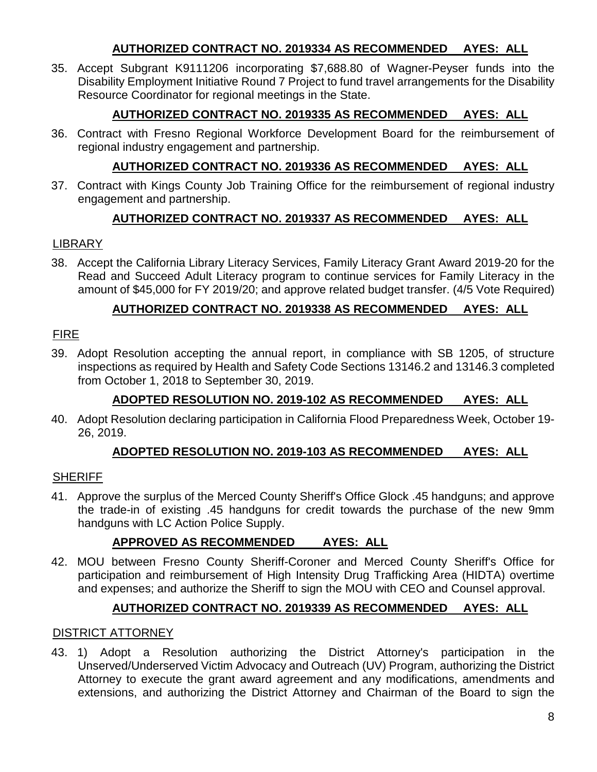### **AUTHORIZED CONTRACT NO. 2019334 AS RECOMMENDED AYES: ALL**

35. Accept Subgrant K9111206 incorporating \$7,688.80 of Wagner-Peyser funds into the Disability Employment Initiative Round 7 Project to fund travel arrangements for the Disability Resource Coordinator for regional meetings in the State.

## **AUTHORIZED CONTRACT NO. 2019335 AS RECOMMENDED AYES: ALL**

36. Contract with Fresno Regional Workforce Development Board for the reimbursement of regional industry engagement and partnership.

## **AUTHORIZED CONTRACT NO. 2019336 AS RECOMMENDED AYES: ALL**

37. Contract with Kings County Job Training Office for the reimbursement of regional industry engagement and partnership.

## **AUTHORIZED CONTRACT NO. 2019337 AS RECOMMENDED AYES: ALL**

### LIBRARY

38. Accept the California Library Literacy Services, Family Literacy Grant Award 2019-20 for the Read and Succeed Adult Literacy program to continue services for Family Literacy in the amount of \$45,000 for FY 2019/20; and approve related budget transfer. (4/5 Vote Required)

### **AUTHORIZED CONTRACT NO. 2019338 AS RECOMMENDED AYES: ALL**

### FIRE

39. Adopt Resolution accepting the annual report, in compliance with SB 1205, of structure inspections as required by Health and Safety Code Sections 13146.2 and 13146.3 completed from October 1, 2018 to September 30, 2019.

## **ADOPTED RESOLUTION NO. 2019-102 AS RECOMMENDED AYES: ALL**

40. Adopt Resolution declaring participation in California Flood Preparedness Week, October 19- 26, 2019.

## **ADOPTED RESOLUTION NO. 2019-103 AS RECOMMENDED AYES: ALL**

### **SHERIFF**

41. Approve the surplus of the Merced County Sheriff's Office Glock .45 handguns; and approve the trade-in of existing .45 handguns for credit towards the purchase of the new 9mm handguns with LC Action Police Supply.

## **APPROVED AS RECOMMENDED AYES: ALL**

42. MOU between Fresno County Sheriff-Coroner and Merced County Sheriff's Office for participation and reimbursement of High Intensity Drug Trafficking Area (HIDTA) overtime and expenses; and authorize the Sheriff to sign the MOU with CEO and Counsel approval.

## **AUTHORIZED CONTRACT NO. 2019339 AS RECOMMENDED AYES: ALL**

### DISTRICT ATTORNEY

43. 1) Adopt a Resolution authorizing the District Attorney's participation in the Unserved/Underserved Victim Advocacy and Outreach (UV) Program, authorizing the District Attorney to execute the grant award agreement and any modifications, amendments and extensions, and authorizing the District Attorney and Chairman of the Board to sign the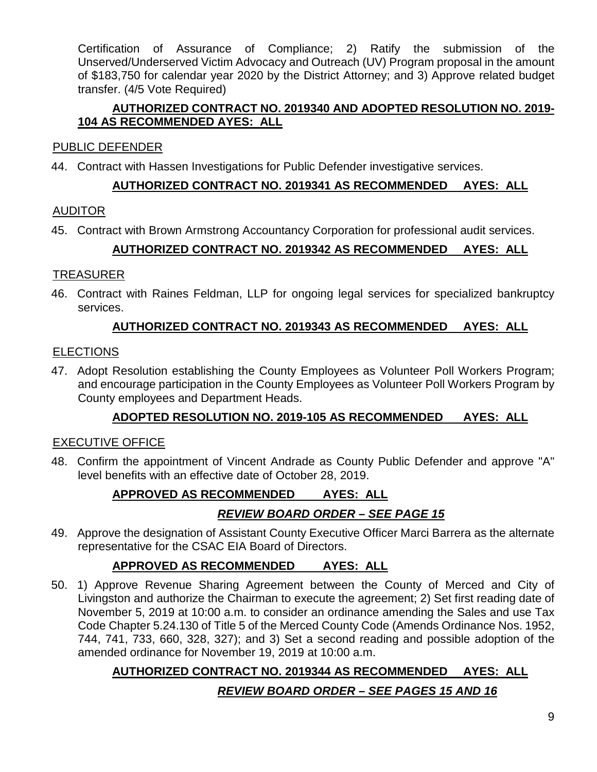Certification of Assurance of Compliance; 2) Ratify the submission of the Unserved/Underserved Victim Advocacy and Outreach (UV) Program proposal in the amount of \$183,750 for calendar year 2020 by the District Attorney; and 3) Approve related budget transfer. (4/5 Vote Required)

### **AUTHORIZED CONTRACT NO. 2019340 AND ADOPTED RESOLUTION NO. 2019- 104 AS RECOMMENDED AYES: ALL**

### PUBLIC DEFENDER

44. Contract with Hassen Investigations for Public Defender investigative services.

### **AUTHORIZED CONTRACT NO. 2019341 AS RECOMMENDED AYES: ALL**

### AUDITOR

45. Contract with Brown Armstrong Accountancy Corporation for professional audit services.

## **AUTHORIZED CONTRACT NO. 2019342 AS RECOMMENDED AYES: ALL**

### **TREASURER**

46. Contract with Raines Feldman, LLP for ongoing legal services for specialized bankruptcy services.

### **AUTHORIZED CONTRACT NO. 2019343 AS RECOMMENDED AYES: ALL**

#### ELECTIONS

47. Adopt Resolution establishing the County Employees as Volunteer Poll Workers Program; and encourage participation in the County Employees as Volunteer Poll Workers Program by County employees and Department Heads.

## **ADOPTED RESOLUTION NO. 2019-105 AS RECOMMENDED AYES: ALL**

### EXECUTIVE OFFICE

48. Confirm the appointment of Vincent Andrade as County Public Defender and approve "A" level benefits with an effective date of October 28, 2019.

## **APPROVED AS RECOMMENDED AYES: ALL**

## *REVIEW BOARD ORDER – SEE PAGE 15*

49. Approve the designation of Assistant County Executive Officer Marci Barrera as the alternate representative for the CSAC EIA Board of Directors.

## **APPROVED AS RECOMMENDED AYES: ALL**

50. 1) Approve Revenue Sharing Agreement between the County of Merced and City of Livingston and authorize the Chairman to execute the agreement; 2) Set first reading date of November 5, 2019 at 10:00 a.m. to consider an ordinance amending the Sales and use Tax Code Chapter 5.24.130 of Title 5 of the Merced County Code (Amends Ordinance Nos. 1952, 744, 741, 733, 660, 328, 327); and 3) Set a second reading and possible adoption of the amended ordinance for November 19, 2019 at 10:00 a.m.

## **AUTHORIZED CONTRACT NO. 2019344 AS RECOMMENDED AYES: ALL**

## *REVIEW BOARD ORDER – SEE PAGES 15 AND 16*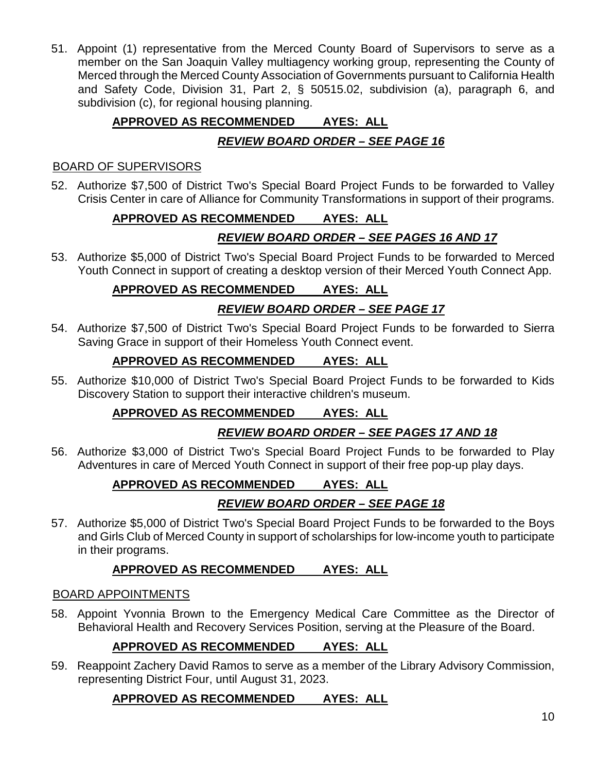51. Appoint (1) representative from the Merced County Board of Supervisors to serve as a member on the San Joaquin Valley multiagency working group, representing the County of Merced through the Merced County Association of Governments pursuant to California Health and Safety Code, Division 31, Part 2, § 50515.02, subdivision (a), paragraph 6, and subdivision (c), for regional housing planning.

## **APPROVED AS RECOMMENDED AYES: ALL**

## *REVIEW BOARD ORDER – SEE PAGE 16*

#### BOARD OF SUPERVISORS

52. Authorize \$7,500 of District Two's Special Board Project Funds to be forwarded to Valley Crisis Center in care of Alliance for Community Transformations in support of their programs.

## **APPROVED AS RECOMMENDED AYES: ALL**

## *REVIEW BOARD ORDER – SEE PAGES 16 AND 17*

53. Authorize \$5,000 of District Two's Special Board Project Funds to be forwarded to Merced Youth Connect in support of creating a desktop version of their Merced Youth Connect App.

## **APPROVED AS RECOMMENDED AYES: ALL**

## *REVIEW BOARD ORDER – SEE PAGE 17*

54. Authorize \$7,500 of District Two's Special Board Project Funds to be forwarded to Sierra Saving Grace in support of their Homeless Youth Connect event.

## **APPROVED AS RECOMMENDED AYES: ALL**

55. Authorize \$10,000 of District Two's Special Board Project Funds to be forwarded to Kids Discovery Station to support their interactive children's museum.

## **APPROVED AS RECOMMENDED AYES: ALL**

## *REVIEW BOARD ORDER – SEE PAGES 17 AND 18*

56. Authorize \$3,000 of District Two's Special Board Project Funds to be forwarded to Play Adventures in care of Merced Youth Connect in support of their free pop-up play days.

## **APPROVED AS RECOMMENDED AYES: ALL**

## *REVIEW BOARD ORDER – SEE PAGE 18*

57. Authorize \$5,000 of District Two's Special Board Project Funds to be forwarded to the Boys and Girls Club of Merced County in support of scholarships for low-income youth to participate in their programs.

## **APPROVED AS RECOMMENDED AYES: ALL**

### BOARD APPOINTMENTS

58. Appoint Yvonnia Brown to the Emergency Medical Care Committee as the Director of Behavioral Health and Recovery Services Position, serving at the Pleasure of the Board.

## **APPROVED AS RECOMMENDED AYES: ALL**

59. Reappoint Zachery David Ramos to serve as a member of the Library Advisory Commission, representing District Four, until August 31, 2023.

## **APPROVED AS RECOMMENDED AYES: ALL**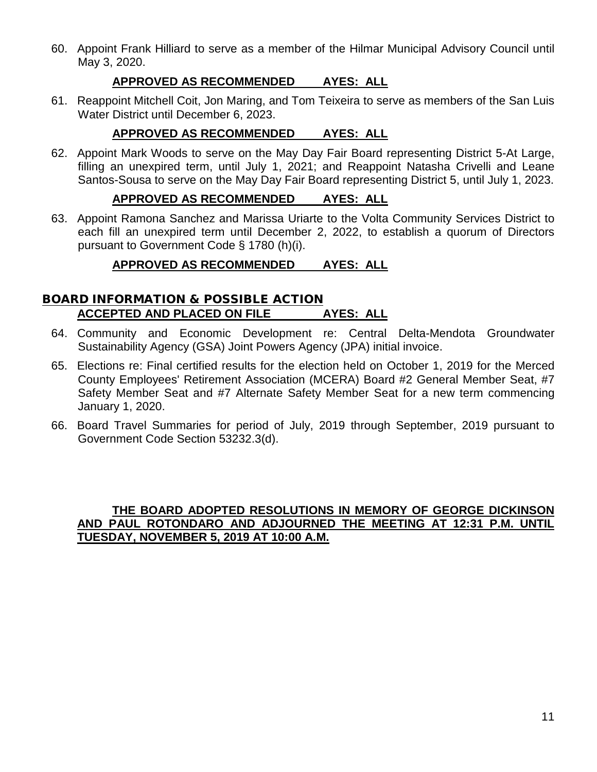60. Appoint Frank Hilliard to serve as a member of the Hilmar Municipal Advisory Council until May 3, 2020.

#### **APPROVED AS RECOMMENDED AYES: ALL**

61. Reappoint Mitchell Coit, Jon Maring, and Tom Teixeira to serve as members of the San Luis Water District until December 6, 2023.

#### **APPROVED AS RECOMMENDED AYES: ALL**

62. Appoint Mark Woods to serve on the May Day Fair Board representing District 5-At Large, filling an unexpired term, until July 1, 2021; and Reappoint Natasha Crivelli and Leane Santos-Sousa to serve on the May Day Fair Board representing District 5, until July 1, 2023.

#### **APPROVED AS RECOMMENDED AYES: ALL**

63. Appoint Ramona Sanchez and Marissa Uriarte to the Volta Community Services District to each fill an unexpired term until December 2, 2022, to establish a quorum of Directors pursuant to Government Code § 1780 (h)(i).

### **APPROVED AS RECOMMENDED AYES: ALL**

#### BOARD INFORMATION & POSSIBLE ACTION **ACCEPTED AND PLACED ON FILE AYES: ALL**

- 64. Community and Economic Development re: Central Delta-Mendota Groundwater Sustainability Agency (GSA) Joint Powers Agency (JPA) initial invoice.
- 65. Elections re: Final certified results for the election held on October 1, 2019 for the Merced County Employees' Retirement Association (MCERA) Board #2 General Member Seat, #7 Safety Member Seat and #7 Alternate Safety Member Seat for a new term commencing January 1, 2020.
- 66. Board Travel Summaries for period of July, 2019 through September, 2019 pursuant to Government Code Section 53232.3(d).

#### **THE BOARD ADOPTED RESOLUTIONS IN MEMORY OF GEORGE DICKINSON AND PAUL ROTONDARO AND ADJOURNED THE MEETING AT 12:31 P.M. UNTIL TUESDAY, NOVEMBER 5, 2019 AT 10:00 A.M.**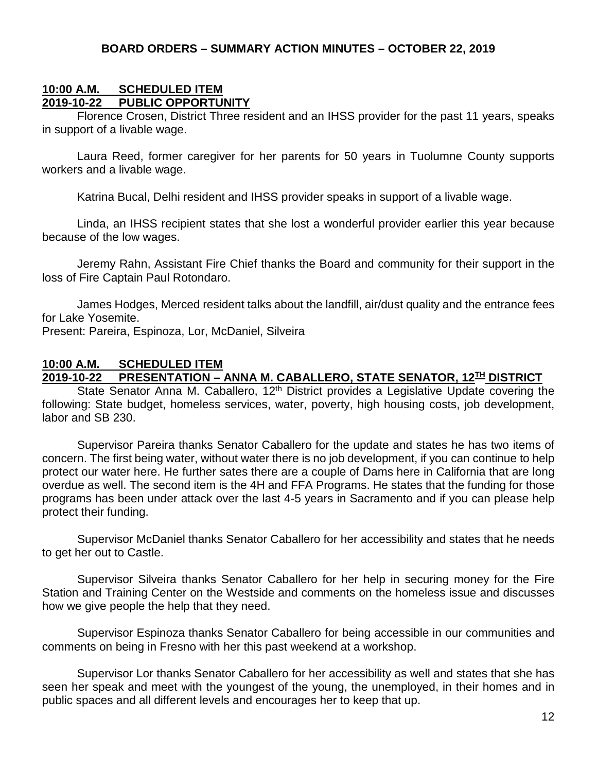#### **BOARD ORDERS – SUMMARY ACTION MINUTES – OCTOBER 22, 2019**

#### **10:00 A.M. SCHEDULED ITEM 2019-10-22 PUBLIC OPPORTUNITY**

Florence Crosen, District Three resident and an IHSS provider for the past 11 years, speaks in support of a livable wage.

Laura Reed, former caregiver for her parents for 50 years in Tuolumne County supports workers and a livable wage.

Katrina Bucal, Delhi resident and IHSS provider speaks in support of a livable wage.

Linda, an IHSS recipient states that she lost a wonderful provider earlier this year because because of the low wages.

Jeremy Rahn, Assistant Fire Chief thanks the Board and community for their support in the loss of Fire Captain Paul Rotondaro.

James Hodges, Merced resident talks about the landfill, air/dust quality and the entrance fees for Lake Yosemite.

Present: Pareira, Espinoza, Lor, McDaniel, Silveira

#### **10:00 A.M. SCHEDULED ITEM**

#### **2019-10-22 PRESENTATION – ANNA M. CABALLERO, STATE SENATOR, 12TH DISTRICT**

State Senator Anna M. Caballero,  $12<sup>th</sup>$  District provides a Legislative Update covering the following: State budget, homeless services, water, poverty, high housing costs, job development, labor and SB 230.

Supervisor Pareira thanks Senator Caballero for the update and states he has two items of concern. The first being water, without water there is no job development, if you can continue to help protect our water here. He further sates there are a couple of Dams here in California that are long overdue as well. The second item is the 4H and FFA Programs. He states that the funding for those programs has been under attack over the last 4-5 years in Sacramento and if you can please help protect their funding.

Supervisor McDaniel thanks Senator Caballero for her accessibility and states that he needs to get her out to Castle.

Supervisor Silveira thanks Senator Caballero for her help in securing money for the Fire Station and Training Center on the Westside and comments on the homeless issue and discusses how we give people the help that they need.

Supervisor Espinoza thanks Senator Caballero for being accessible in our communities and comments on being in Fresno with her this past weekend at a workshop.

Supervisor Lor thanks Senator Caballero for her accessibility as well and states that she has seen her speak and meet with the youngest of the young, the unemployed, in their homes and in public spaces and all different levels and encourages her to keep that up.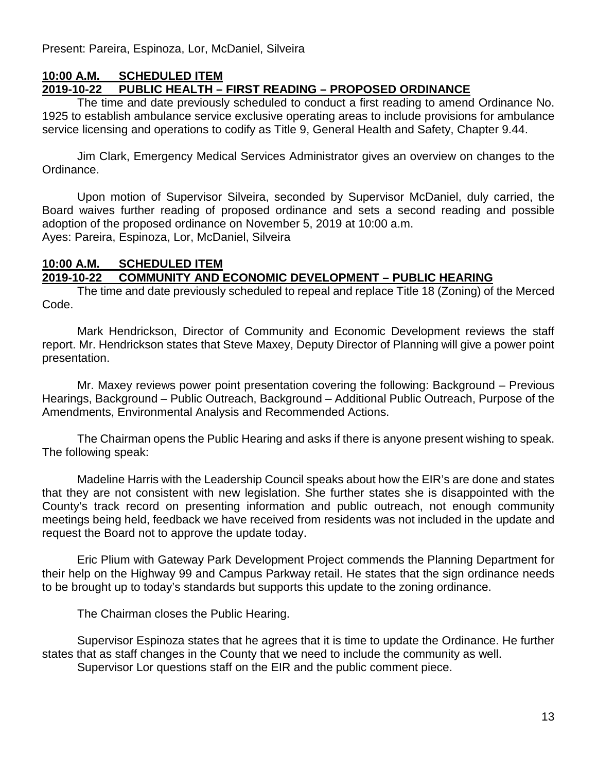Present: Pareira, Espinoza, Lor, McDaniel, Silveira

### **10:00 A.M. SCHEDULED ITEM**

### **2019-10-22 PUBLIC HEALTH – FIRST READING – PROPOSED ORDINANCE**

The time and date previously scheduled to conduct a first reading to amend Ordinance No. 1925 to establish ambulance service exclusive operating areas to include provisions for ambulance service licensing and operations to codify as Title 9, General Health and Safety, Chapter 9.44.

Jim Clark, Emergency Medical Services Administrator gives an overview on changes to the Ordinance.

Upon motion of Supervisor Silveira, seconded by Supervisor McDaniel, duly carried, the Board waives further reading of proposed ordinance and sets a second reading and possible adoption of the proposed ordinance on November 5, 2019 at 10:00 a.m. Ayes: Pareira, Espinoza, Lor, McDaniel, Silveira

#### **10:00 A.M. SCHEDULED ITEM 2019-10-22 COMMUNITY AND ECONOMIC DEVELOPMENT – PUBLIC HEARING**

The time and date previously scheduled to repeal and replace Title 18 (Zoning) of the Merced Code.

Mark Hendrickson, Director of Community and Economic Development reviews the staff report. Mr. Hendrickson states that Steve Maxey, Deputy Director of Planning will give a power point presentation.

Mr. Maxey reviews power point presentation covering the following: Background – Previous Hearings, Background – Public Outreach, Background – Additional Public Outreach, Purpose of the Amendments, Environmental Analysis and Recommended Actions.

The Chairman opens the Public Hearing and asks if there is anyone present wishing to speak. The following speak:

Madeline Harris with the Leadership Council speaks about how the EIR's are done and states that they are not consistent with new legislation. She further states she is disappointed with the County's track record on presenting information and public outreach, not enough community meetings being held, feedback we have received from residents was not included in the update and request the Board not to approve the update today.

Eric Plium with Gateway Park Development Project commends the Planning Department for their help on the Highway 99 and Campus Parkway retail. He states that the sign ordinance needs to be brought up to today's standards but supports this update to the zoning ordinance.

The Chairman closes the Public Hearing.

Supervisor Espinoza states that he agrees that it is time to update the Ordinance. He further states that as staff changes in the County that we need to include the community as well. Supervisor Lor questions staff on the EIR and the public comment piece.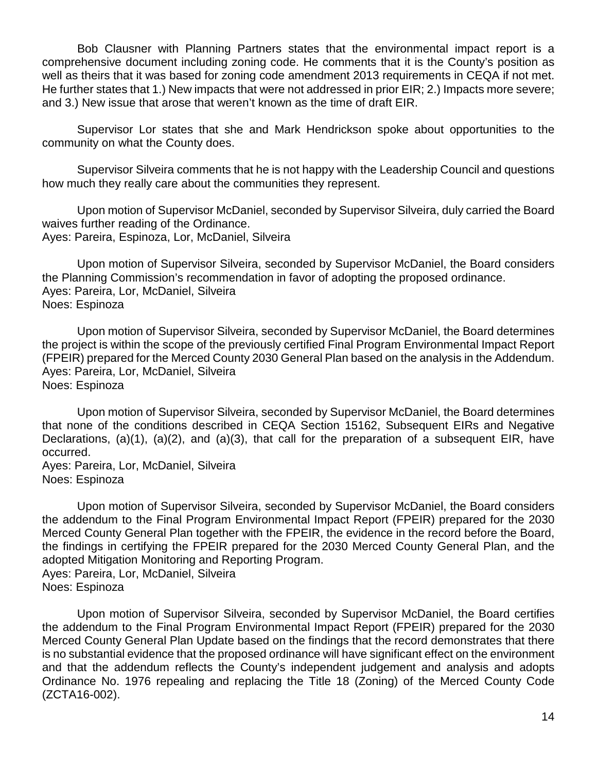Bob Clausner with Planning Partners states that the environmental impact report is a comprehensive document including zoning code. He comments that it is the County's position as well as theirs that it was based for zoning code amendment 2013 requirements in CEQA if not met. He further states that 1.) New impacts that were not addressed in prior EIR; 2.) Impacts more severe; and 3.) New issue that arose that weren't known as the time of draft EIR.

Supervisor Lor states that she and Mark Hendrickson spoke about opportunities to the community on what the County does.

Supervisor Silveira comments that he is not happy with the Leadership Council and questions how much they really care about the communities they represent.

Upon motion of Supervisor McDaniel, seconded by Supervisor Silveira, duly carried the Board waives further reading of the Ordinance. Ayes: Pareira, Espinoza, Lor, McDaniel, Silveira

Upon motion of Supervisor Silveira, seconded by Supervisor McDaniel, the Board considers the Planning Commission's recommendation in favor of adopting the proposed ordinance. Ayes: Pareira, Lor, McDaniel, Silveira Noes: Espinoza

Upon motion of Supervisor Silveira, seconded by Supervisor McDaniel, the Board determines the project is within the scope of the previously certified Final Program Environmental Impact Report (FPEIR) prepared for the Merced County 2030 General Plan based on the analysis in the Addendum. Ayes: Pareira, Lor, McDaniel, Silveira Noes: Espinoza

Upon motion of Supervisor Silveira, seconded by Supervisor McDaniel, the Board determines that none of the conditions described in CEQA Section 15162, Subsequent EIRs and Negative Declarations, (a)(1), (a)(2), and (a)(3), that call for the preparation of a subsequent EIR, have occurred.

Ayes: Pareira, Lor, McDaniel, Silveira Noes: Espinoza

Upon motion of Supervisor Silveira, seconded by Supervisor McDaniel, the Board considers the addendum to the Final Program Environmental Impact Report (FPEIR) prepared for the 2030 Merced County General Plan together with the FPEIR, the evidence in the record before the Board, the findings in certifying the FPEIR prepared for the 2030 Merced County General Plan, and the adopted Mitigation Monitoring and Reporting Program. Ayes: Pareira, Lor, McDaniel, Silveira Noes: Espinoza

Upon motion of Supervisor Silveira, seconded by Supervisor McDaniel, the Board certifies the addendum to the Final Program Environmental Impact Report (FPEIR) prepared for the 2030 Merced County General Plan Update based on the findings that the record demonstrates that there is no substantial evidence that the proposed ordinance will have significant effect on the environment and that the addendum reflects the County's independent judgement and analysis and adopts Ordinance No. 1976 repealing and replacing the Title 18 (Zoning) of the Merced County Code (ZCTA16-002).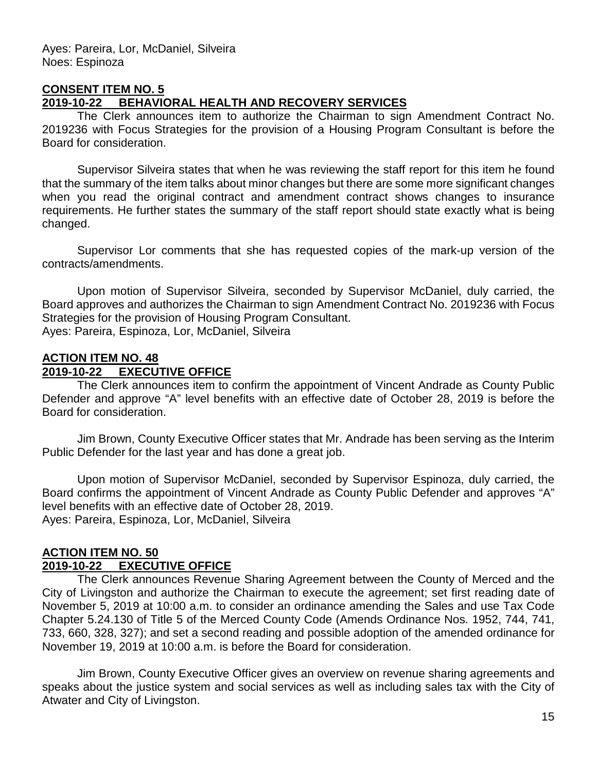#### **CONSENT ITEM NO. 5**

#### **2019-10-22 BEHAVIORAL HEALTH AND RECOVERY SERVICES**

The Clerk announces item to authorize the Chairman to sign Amendment Contract No. 2019236 with Focus Strategies for the provision of a Housing Program Consultant is before the Board for consideration.

Supervisor Silveira states that when he was reviewing the staff report for this item he found that the summary of the item talks about minor changes but there are some more significant changes when you read the original contract and amendment contract shows changes to insurance requirements. He further states the summary of the staff report should state exactly what is being changed.

Supervisor Lor comments that she has requested copies of the mark-up version of the contracts/amendments.

Upon motion of Supervisor Silveira, seconded by Supervisor McDaniel, duly carried, the Board approves and authorizes the Chairman to sign Amendment Contract No. 2019236 with Focus Strategies for the provision of Housing Program Consultant. Ayes: Pareira, Espinoza, Lor, McDaniel, Silveira

### **ACTION ITEM NO. 48**

#### **2019-10-22 EXECUTIVE OFFICE**

The Clerk announces item to confirm the appointment of Vincent Andrade as County Public Defender and approve "A" level benefits with an effective date of October 28, 2019 is before the Board for consideration.

Jim Brown, County Executive Officer states that Mr. Andrade has been serving as the Interim Public Defender for the last year and has done a great job.

Upon motion of Supervisor McDaniel, seconded by Supervisor Espinoza, duly carried, the Board confirms the appointment of Vincent Andrade as County Public Defender and approves "A" level benefits with an effective date of October 28, 2019. Ayes: Pareira, Espinoza, Lor, McDaniel, Silveira

#### **ACTION ITEM NO. 50 2019-10-22 EXECUTIVE OFFICE**

The Clerk announces Revenue Sharing Agreement between the County of Merced and the City of Livingston and authorize the Chairman to execute the agreement; set first reading date of November 5, 2019 at 10:00 a.m. to consider an ordinance amending the Sales and use Tax Code Chapter 5.24.130 of Title 5 of the Merced County Code (Amends Ordinance Nos. 1952, 744, 741, 733, 660, 328, 327); and set a second reading and possible adoption of the amended ordinance for November 19, 2019 at 10:00 a.m. is before the Board for consideration.

Jim Brown, County Executive Officer gives an overview on revenue sharing agreements and speaks about the justice system and social services as well as including sales tax with the City of Atwater and City of Livingston.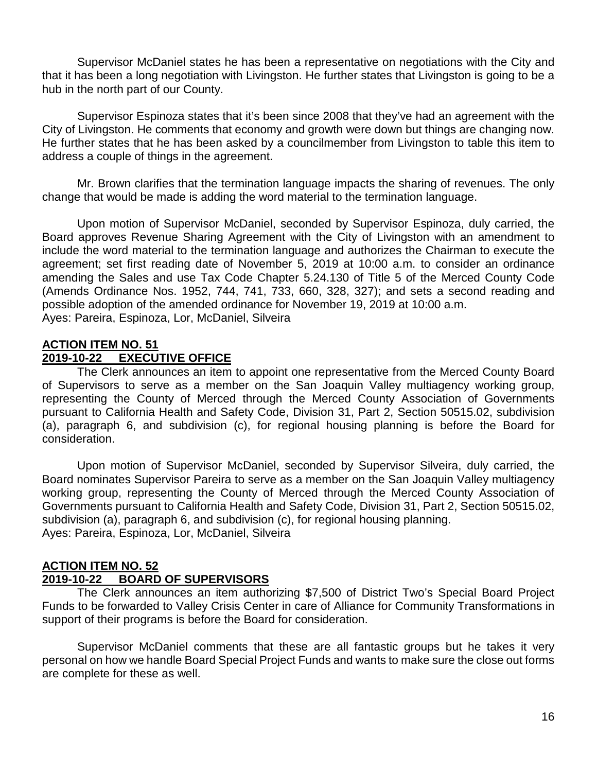Supervisor McDaniel states he has been a representative on negotiations with the City and that it has been a long negotiation with Livingston. He further states that Livingston is going to be a hub in the north part of our County.

Supervisor Espinoza states that it's been since 2008 that they've had an agreement with the City of Livingston. He comments that economy and growth were down but things are changing now. He further states that he has been asked by a councilmember from Livingston to table this item to address a couple of things in the agreement.

Mr. Brown clarifies that the termination language impacts the sharing of revenues. The only change that would be made is adding the word material to the termination language.

Upon motion of Supervisor McDaniel, seconded by Supervisor Espinoza, duly carried, the Board approves Revenue Sharing Agreement with the City of Livingston with an amendment to include the word material to the termination language and authorizes the Chairman to execute the agreement; set first reading date of November 5, 2019 at 10:00 a.m. to consider an ordinance amending the Sales and use Tax Code Chapter 5.24.130 of Title 5 of the Merced County Code (Amends Ordinance Nos. 1952, 744, 741, 733, 660, 328, 327); and sets a second reading and possible adoption of the amended ordinance for November 19, 2019 at 10:00 a.m. Ayes: Pareira, Espinoza, Lor, McDaniel, Silveira

#### **ACTION ITEM NO. 51**

#### **2019-10-22 EXECUTIVE OFFICE**

The Clerk announces an item to appoint one representative from the Merced County Board of Supervisors to serve as a member on the San Joaquin Valley multiagency working group, representing the County of Merced through the Merced County Association of Governments pursuant to California Health and Safety Code, Division 31, Part 2, Section 50515.02, subdivision (a), paragraph 6, and subdivision (c), for regional housing planning is before the Board for consideration.

Upon motion of Supervisor McDaniel, seconded by Supervisor Silveira, duly carried, the Board nominates Supervisor Pareira to serve as a member on the San Joaquin Valley multiagency working group, representing the County of Merced through the Merced County Association of Governments pursuant to California Health and Safety Code, Division 31, Part 2, Section 50515.02, subdivision (a), paragraph 6, and subdivision (c), for regional housing planning. Ayes: Pareira, Espinoza, Lor, McDaniel, Silveira

### **ACTION ITEM NO. 52**

#### **2019-10-22 BOARD OF SUPERVISORS**

The Clerk announces an item authorizing \$7,500 of District Two's Special Board Project Funds to be forwarded to Valley Crisis Center in care of Alliance for Community Transformations in support of their programs is before the Board for consideration.

Supervisor McDaniel comments that these are all fantastic groups but he takes it very personal on how we handle Board Special Project Funds and wants to make sure the close out forms are complete for these as well.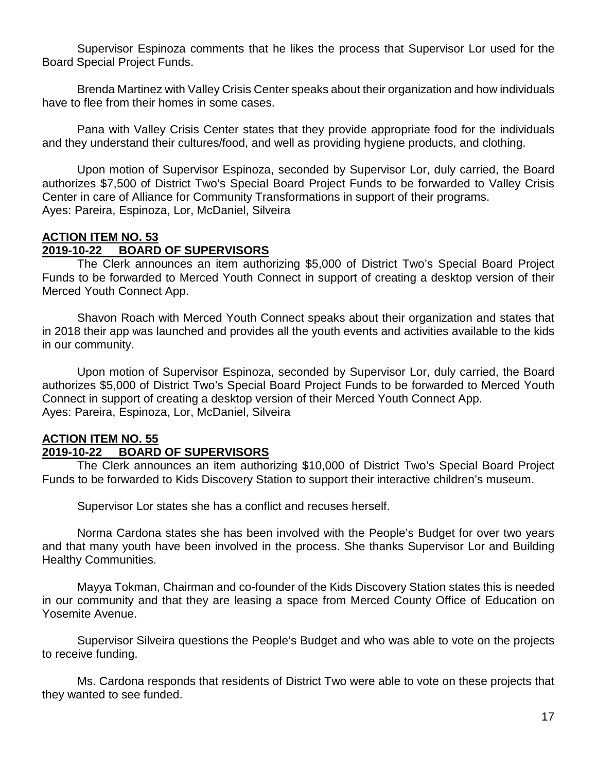Supervisor Espinoza comments that he likes the process that Supervisor Lor used for the Board Special Project Funds.

Brenda Martinez with Valley Crisis Center speaks about their organization and how individuals have to flee from their homes in some cases.

Pana with Valley Crisis Center states that they provide appropriate food for the individuals and they understand their cultures/food, and well as providing hygiene products, and clothing.

Upon motion of Supervisor Espinoza, seconded by Supervisor Lor, duly carried, the Board authorizes \$7,500 of District Two's Special Board Project Funds to be forwarded to Valley Crisis Center in care of Alliance for Community Transformations in support of their programs. Ayes: Pareira, Espinoza, Lor, McDaniel, Silveira

### **ACTION ITEM NO. 53**

#### **2019-10-22 BOARD OF SUPERVISORS**

The Clerk announces an item authorizing \$5,000 of District Two's Special Board Project Funds to be forwarded to Merced Youth Connect in support of creating a desktop version of their Merced Youth Connect App.

Shavon Roach with Merced Youth Connect speaks about their organization and states that in 2018 their app was launched and provides all the youth events and activities available to the kids in our community.

Upon motion of Supervisor Espinoza, seconded by Supervisor Lor, duly carried, the Board authorizes \$5,000 of District Two's Special Board Project Funds to be forwarded to Merced Youth Connect in support of creating a desktop version of their Merced Youth Connect App. Ayes: Pareira, Espinoza, Lor, McDaniel, Silveira

#### **ACTION ITEM NO. 55 2019-10-22 BOARD OF SUPERVISORS**

The Clerk announces an item authorizing \$10,000 of District Two's Special Board Project Funds to be forwarded to Kids Discovery Station to support their interactive children's museum.

Supervisor Lor states she has a conflict and recuses herself.

Norma Cardona states she has been involved with the People's Budget for over two years and that many youth have been involved in the process. She thanks Supervisor Lor and Building Healthy Communities.

Mayya Tokman, Chairman and co-founder of the Kids Discovery Station states this is needed in our community and that they are leasing a space from Merced County Office of Education on Yosemite Avenue.

Supervisor Silveira questions the People's Budget and who was able to vote on the projects to receive funding.

Ms. Cardona responds that residents of District Two were able to vote on these projects that they wanted to see funded.